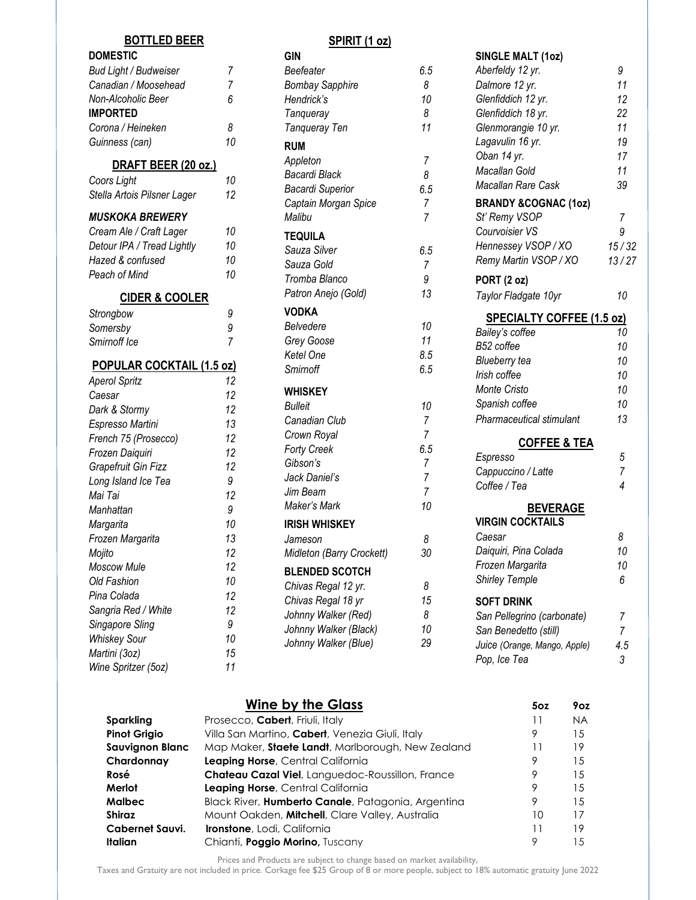#### **BOTTLED BEER**

# **DOMESTIC**

| <b>Bud Light / Budweiser</b> |    |
|------------------------------|----|
| Canadian / Moosehead         |    |
| Non-Alcoholic Beer           | 6. |
| <b>IMPORTED</b>              |    |
| Corona / Heineken            | я  |
| Guinness (can)               | 10 |
|                              |    |

#### **DRAFT BEER (20 oz.)**

| Coors Light                 | 10 |
|-----------------------------|----|
| Stella Artois Pilsner Lager | 12 |

#### *MUSKOKA BREWERY*

| Cream Ale / Craft Lager    | 10 |
|----------------------------|----|
| Detour IPA / Tread Lightly | 10 |
| Hazed & confused           | 10 |
| Peach of Mind              | 10 |
|                            |    |

### **CIDER & COOLER**

| Strongbow    | 9 |
|--------------|---|
| Somersby     | 9 |
| Smirnoff Ice |   |

#### **POPULAR COCKTAIL (1.5 oz)**

| Aperol Spritz        | 12 |
|----------------------|----|
| Caesar               | 12 |
| Dark & Stormy        | 12 |
| Espresso Martini     | 13 |
| French 75 (Prosecco) | 12 |
| Frozen Daiquiri      | 12 |
| Grapefruit Gin Fizz  | 12 |
| Long Island Ice Tea  | 9  |
| Mai Tai              | 12 |
| Manhattan            | 9  |
| Margarita            | 10 |
| Frozen Margarita     | 13 |
| Mojito               | 12 |
| <b>Moscow Mule</b>   | 12 |
| Old Fashion          | 10 |
| Pina Colada          | 12 |
| Sangria Red / White  | 12 |
| Singapore Sling      | 9  |
| Whiskey Sour         | 10 |
| Martini (3oz)        | 15 |
| Wine Spritzer (5oz)  | 11 |

#### **SPIRIT (1 oz)**

| Beefeater                                     |          |
|-----------------------------------------------|----------|
|                                               | 6.5      |
| <b>Bombay Sapphire</b>                        | 8        |
| Hendrick's                                    | 10       |
| Tanqueray                                     | 8        |
| Tanqueray Ten                                 | 11       |
| <b>RUM</b>                                    |          |
| Appleton                                      | 7        |
| Bacardi Black                                 | 8        |
| <b>Bacardi Superior</b>                       | 6.5      |
| Captain Morgan Spice                          | 7        |
| Malibu                                        | 7        |
| TEQUILA                                       |          |
| Sauza Silver                                  | 6.5      |
| Sauza Gold                                    | 7        |
| Tromba Blanco                                 | 9        |
| Patron Anejo (Gold)                           | 13       |
| VODKA                                         |          |
| Belvedere                                     | 10       |
| Grey Goose                                    | 11       |
| Ketel One                                     | 8.5      |
| Smirnoff                                      | 6.5      |
|                                               |          |
|                                               |          |
| WHISKEY                                       |          |
| <b>Bulleit</b>                                | 10       |
| Canadian Club                                 | 7        |
| Crown Royal                                   | 7        |
| Forty Creek                                   | 6.5      |
| Gibson's                                      | 7<br>7   |
| Jack Daniel's<br>Jim Beam                     | 7        |
| Maker's Mark                                  | 10       |
|                                               |          |
| <b>IRISH WHISKEY</b>                          |          |
| Jameson                                       | 8        |
| Midleton (Barry Crockett)                     | 30       |
| <b>BLENDED SCOTCH</b>                         |          |
| Chivas Regal 12 yr.                           | 8        |
| Chivas Regal 18 yr                            | 15       |
| Johnny Walker (Red)                           | 8        |
| Johnny Walker (Black)<br>Johnny Walker (Blue) | 10<br>29 |

# **SINGLE MALT (1oz)** *Aberfeldy 12 yr. 9 Dalmore 12 yr. 11 Glenfiddich 12 yr. 12 Glenfiddich 18 yr. 22 Glenmorangie 10 yr. 11 Lagavulin 16 yr. 19 Oban 14 yr. 17 Macallan Gold 11 Macallan Rare Cask 39* **BRANDY &COGNAC (1oz)** *St' Remy VSOP 7 Courvoisier VS 9 Hennessey VSOP / XO 15 / 32 Remy Martin VSOP / XO 13 / 27* **PORT (2 oz)** *Taylor Fladgate 10yr 10* **SPECIALTY COFFEE (1.5 oz)** *Bailey's coffee 10 B52 coffee 10 Blueberry tea 10 Irish coffee 10 Monte Cristo 10 Spanish coffee 10 Pharmaceutical stimulant 13* **COFFEE & TEA** *Espresso 5 Cappuccino / Latte 7 Coffee / Tea 4* **BEVERAGE VIRGIN COCKTAILS** *Caesar 8 Daiquiri, Pina Colada 10 Frozen Margarita 10 Shirley Temple 6*

#### **SOFT DRINK**

| 4.5 |
|-----|
| 3   |
|     |

# **Wine by the Glass 5oz 9oz**

| Sparkling           | Prosecco, Cabert, Friuli, Italy                    |    | NA. |
|---------------------|----------------------------------------------------|----|-----|
| <b>Pinot Grigio</b> | Villa San Martino, Cabert, Venezia Giuli, Italy    | 9  | 15  |
| Sauvignon Blanc     | Map Maker, Staete Landt, Marlborough, New Zealand  | 11 | 19  |
| Chardonnay          | Leaping Horse, Central California                  | 9  | 15  |
| Rosé                | Chateau Cazal Viel, Languedoc-Roussillon, France   | 9  | 15  |
| Merlot              | Leaping Horse, Central California                  | 9  | 15  |
| Malbec              | Black River, Humberto Canale, Patagonia, Argentina | 9  | 15  |
| Shiraz              | Mount Oakden, Mitchell, Clare Valley, Australia    | 10 | 17  |
| Cabernet Sauvi.     | <b>Ironstone</b> , Lodi, California                | 11 | 19  |
| Italian             | Chianti, Poggio Morino, Tuscany                    | 9  | 1.5 |
|                     |                                                    |    |     |

Prices and Products are subject to change based on market availability,

Taxes and Gratuity are not included in price. Corkage fee \$25 Group of 8 or more people, subject to 18% automatic gratuity June 2022